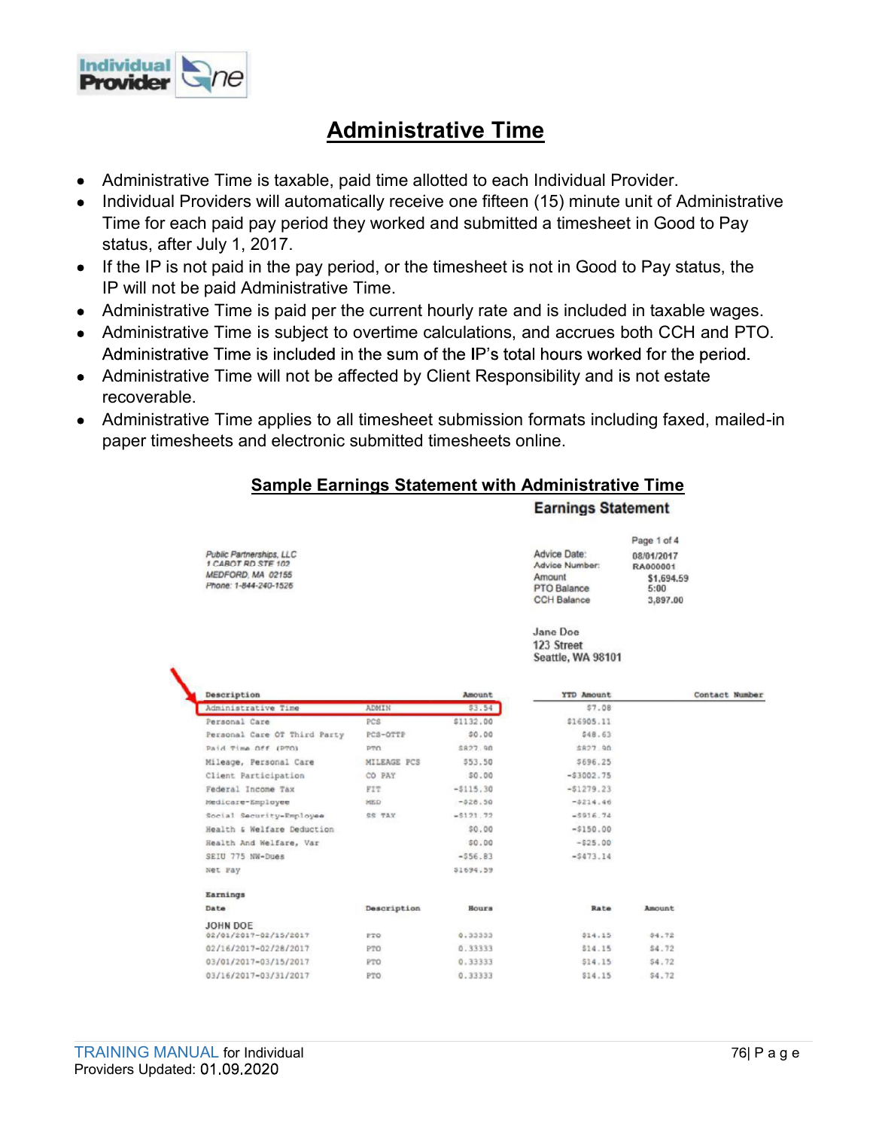

# Administrative Time

- Administrative Time is taxable, paid time allotted to each Individual Provider.
- **Administrative Time is taxable, paid time allotted to each Individual Provider.**<br> **Administrative Time is taxable, paid time allotted to each Individual Provider.**<br> **Individual Providers will automatically receive one fif** Individual Providers will automatically receive one fifteen (15) minute unit of Administrative  $\bullet$ Time for each paid pay period they worked and submitted a timesheet in Good to Pay status, after July 1, 2017.
- If the IP is not paid in the pay period, or the timesheet is not in Good to Pay status, the IP will not be paid Administrative Time.
- 
- Administrative Time is subject to overtime calculations, and accrues both CCH and PTO.
- Administrative Time will not be affected by Client Responsibility and is not estate recoverable.
- Administrative Time applies to all timesheet submission formats including faxed, mailed-in paper timesheets and electronic submitted timesheets online.

### Sample Earnings Statement with Administrative Time

#### **Earnings Statement**

| <b>Advice Date:</b> |  |  |  |
|---------------------|--|--|--|
| Advice Number:      |  |  |  |
| Amount              |  |  |  |
| PTO Balance         |  |  |  |
| COU Balance         |  |  |  |

08/01/2017 RA000001 \$1,694.59  $5:00$ 3,897.00

Page 1 of 4

Jane Doe 123 Street Seattle, WA 98101

|                                       | Description<br>Amount |            | <b>YTD Amount</b> |        | Contact Number |
|---------------------------------------|-----------------------|------------|-------------------|--------|----------------|
| Administrative Time                   | ADMIN                 | \$3.54     | \$7.08            |        |                |
| Personal Care                         | PCS                   | \$1132.00  | \$16905.11        |        |                |
| Personal Care OT Third Party          | PCS-OTTP              | \$0.00     | \$48.63           |        |                |
| Paid Time Off (PTO)                   | PTO                   | \$827.90   | \$827.90          |        |                |
| Mileage, Personal Care                | MILEAGE PCS           | \$53.50    | \$696.25          |        |                |
| Client Participation                  | CO PAY                | \$0.00     | $-$3002.75$       |        |                |
| Federal Income Tax                    | FIT                   | $-5115.30$ | $-51279.23$       |        |                |
| Medicare-Employee                     | MED                   | $-528.50$  | $-5214.46$        |        |                |
| Social Security-Employee              | SS TAX                | $-5121.72$ | $-5916.74$        |        |                |
| Health & Welfare Deduction            |                       | \$0.00     | $-5150.00$        |        |                |
| Health And Welfare, Var               |                       | \$0.00     | $-525.00$         |        |                |
| SEIU 775 NW-Dues                      |                       | $-556.83$  | $-5473.14$        |        |                |
| Net Pay                               |                       | \$1694.59  |                   |        |                |
| Earnings                              |                       |            |                   |        |                |
| Date                                  | Description           | Hours      | Rate              | Amount |                |
| JOHN DOE                              |                       |            |                   |        |                |
| 02/01/2017-02/15/2017                 | PTO                   | 0.33333    | \$14.15           | \$4.72 |                |
| 02/16/2017-02/28/2017                 | PTO                   | 0.33333    | \$14.15           | \$4.72 |                |
| 03/01/2017-03/15/2017                 | PTO                   | 0.33333    | \$14.15           | \$4.72 |                |
| 03/16/2017-03/31/2017                 | PTO                   | 0.33333    | \$14.15           | \$4.72 |                |
|                                       |                       |            |                   |        |                |
|                                       |                       |            |                   |        |                |
|                                       |                       |            |                   |        |                |
| <b>TRAINING MANUAL for Individual</b> |                       |            |                   |        | 76  P a g e    |
| Providers Updated: 01.09.2020         |                       |            |                   |        |                |
|                                       |                       |            |                   |        |                |

Public Partnerships, LLC<br>1 CABOT RD STE 102

MEDEORD MA 02155

Phone: 1-844-240-1526